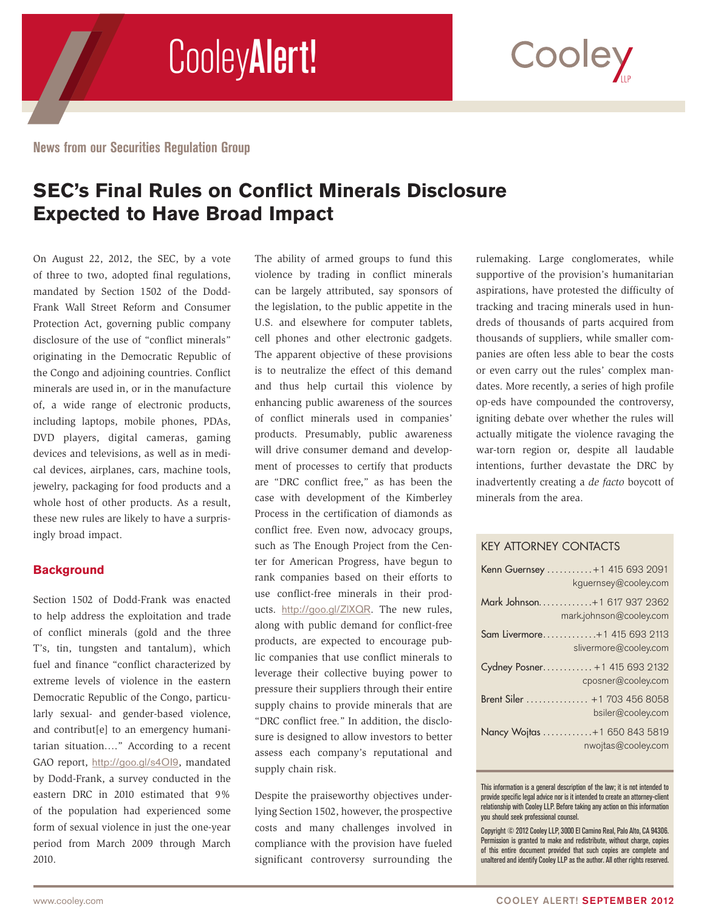

**News from our Securities Regulation Group**

# **SEC's Final Rules on Conflict Minerals Disclosure Expected to Have Broad Impact**

On August 22, 2012, the SEC, by a vote of three to two, adopted final regulations, mandated by Section 1502 of the Dodd-Frank Wall Street Reform and Consumer Protection Act, governing public company disclosure of the use of "conflict minerals" originating in the Democratic Republic of the Congo and adjoining countries. Conflict minerals are used in, or in the manufacture of, a wide range of electronic products, including laptops, mobile phones, PDAs, DVD players, digital cameras, gaming devices and televisions, as well as in medical devices, airplanes, cars, machine tools, jewelry, packaging for food products and a whole host of other products. As a result, these new rules are likely to have a surprisingly broad impact.

## **Background**

Section 1502 of Dodd-Frank was enacted to help address the exploitation and trade of conflict minerals (gold and the three T's, tin, tungsten and tantalum), which fuel and finance "conflict characterized by extreme levels of violence in the eastern Democratic Republic of the Congo, particularly sexual- and gender-based violence, and contribut[e] to an emergency humanitarian situation…." According to a recent GAO report, <http://goo.gl/s4OI9>, mandated by Dodd-Frank, a survey conducted in the eastern DRC in 2010 estimated that 9% of the population had experienced some form of sexual violence in just the one-year period from March 2009 through March 2010.

The ability of armed groups to fund this violence by trading in conflict minerals can be largely attributed, say sponsors of the legislation, to the public appetite in the U.S. and elsewhere for computer tablets, cell phones and other electronic gadgets. The apparent objective of these provisions is to neutralize the effect of this demand and thus help curtail this violence by enhancing public awareness of the sources of conflict minerals used in companies' products. Presumably, public awareness will drive consumer demand and development of processes to certify that products are "DRC conflict free," as has been the case with development of the Kimberley Process in the certification of diamonds as conflict free. Even now, advocacy groups, such as The Enough Project from the Center for American Progress, have begun to rank companies based on their efforts to use conflict-free minerals in their products. <http://goo.gl/ZlXQR>. The new rules, along with public demand for conflict-free products, are expected to encourage public companies that use conflict minerals to leverage their collective buying power to pressure their suppliers through their entire supply chains to provide minerals that are "DRC conflict free." In addition, the disclosure is designed to allow investors to better assess each company's reputational and supply chain risk.

Despite the praiseworthy objectives underlying Section 1502, however, the prospective costs and many challenges involved in compliance with the provision have fueled significant controversy surrounding the rulemaking. Large conglomerates, while supportive of the provision's humanitarian aspirations, have protested the difficulty of tracking and tracing minerals used in hundreds of thousands of parts acquired from thousands of suppliers, while smaller companies are often less able to bear the costs or even carry out the rules' complex mandates. More recently, a series of high profile op-eds have compounded the controversy, igniting debate over whether the rules will actually mitigate the violence ravaging the war-torn region or, despite all laudable intentions, further devastate the DRC by inadvertently creating a *de facto* boycott of minerals from the area.

## KEY ATTORNEY CONTACTS

| Kenn Guernsey  +1 415 693 2091<br>kquernsey@cooley.com |
|--------------------------------------------------------|
| Mark Johnson+1 617 937 2362<br>mark.johnson@cooley.com |
| Sam Livermore+1 415 693 2113<br>slivermore@cooley.com  |
| Cydney Posner +1 415 693 2132<br>cposner@cooley.com    |
| Brent Siler  +1 703 456 8058<br>bsiler@cooley.com      |
| Nancy Wojtas +1 650 843 5819<br>nwojtas@cooley.com     |
|                                                        |

This information is a general description of the law; it is not intended to provide specific legal advice nor is it intended to create an attorney-client relationship with Cooley LLP. Before taking any action on this information you should seek professional counsel.

Copyright © 2012 Cooley LLP, 3000 El Camino Real, Palo Alto, CA 94306. Permission is granted to make and redistribute, without charge, copies of this entire document provided that such copies are complete and unaltered and identify Cooley LLP as the author. All other rights reserved.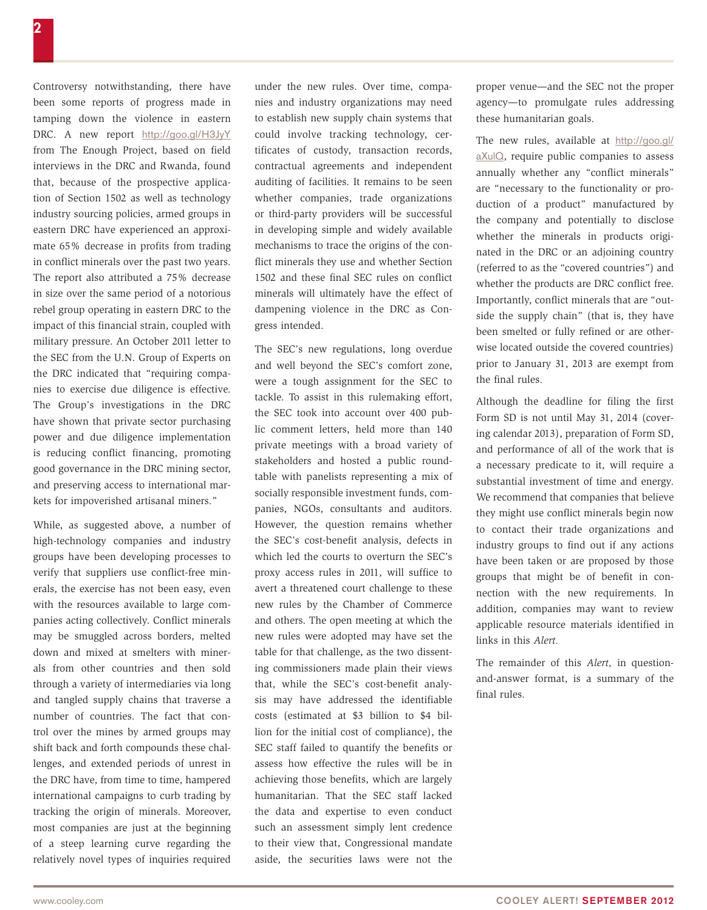Controversy notwithstanding, there have been some reports of progress made in tamping down the violence in eastern DRC. A new report <http://goo.gl/H3JyY> from The Enough Project, based on field interviews in the DRC and Rwanda, found that, because of the prospective application of Section 1502 as well as technology industry sourcing policies, armed groups in eastern DRC have experienced an approximate 65% decrease in profits from trading in conflict minerals over the past two years. The report also attributed a 75% decrease in size over the same period of a notorious rebel group operating in eastern DRC to the impact of this financial strain, coupled with military pressure. An October 2011 letter to the SEC from the U.N. Group of Experts on the DRC indicated that "requiring companies to exercise due diligence is effective. The Group's investigations in the DRC have shown that private sector purchasing power and due diligence implementation is reducing conflict financing, promoting good governance in the DRC mining sector, and preserving access to international markets for impoverished artisanal miners."

While, as suggested above, a number of high-technology companies and industry groups have been developing processes to verify that suppliers use conflict-free minerals, the exercise has not been easy, even with the resources available to large companies acting collectively. Conflict minerals may be smuggled across borders, melted down and mixed at smelters with minerals from other countries and then sold through a variety of intermediaries via long and tangled supply chains that traverse a number of countries. The fact that control over the mines by armed groups may shift back and forth compounds these challenges, and extended periods of unrest in the DRC have, from time to time, hampered international campaigns to curb trading by tracking the origin of minerals. Moreover, most companies are just at the beginning of a steep learning curve regarding the relatively novel types of inquiries required

under the new rules. Over time, companies and industry organizations may need to establish new supply chain systems that could involve tracking technology, certificates of custody, transaction records, contractual agreements and independent auditing of facilities. It remains to be seen whether companies, trade organizations or third-party providers will be successful in developing simple and widely available mechanisms to trace the origins of the conflict minerals they use and whether Section 1502 and these final SEC rules on conflict minerals will ultimately have the effect of dampening violence in the DRC as Congress intended.

The SEC's new regulations, long overdue and well beyond the SEC's comfort zone, were a tough assignment for the SEC to tackle. To assist in this rulemaking effort, the SEC took into account over 400 public comment letters, held more than 140 private meetings with a broad variety of stakeholders and hosted a public roundtable with panelists representing a mix of socially responsible investment funds, companies, NGOs, consultants and auditors. However, the question remains whether the SEC's cost-benefit analysis, defects in which led the courts to overturn the SEC's proxy access rules in 2011, will suffice to avert a threatened court challenge to these new rules by the Chamber of Commerce and others. The open meeting at which the new rules were adopted may have set the table for that challenge, as the two dissenting commissioners made plain their views that, while the SEC's cost-benefit analysis may have addressed the identifiable costs (estimated at \$3 billion to \$4 billion for the initial cost of compliance), the SEC staff failed to quantify the benefits or assess how effective the rules will be in achieving those benefits, which are largely humanitarian. That the SEC staff lacked the data and expertise to even conduct such an assessment simply lent credence to their view that, Congressional mandate aside, the securities laws were not the

proper venue—and the SEC not the proper agency—to promulgate rules addressing these humanitarian goals.

The new rules, available at [http://goo.gl/](http://goo.gl/aXulQ) [aXulQ](http://goo.gl/aXulQ), require public companies to assess annually whether any "conflict minerals" are "necessary to the functionality or production of a product" manufactured by the company and potentially to disclose whether the minerals in products originated in the DRC or an adjoining country (referred to as the "covered countries") and whether the products are DRC conflict free. Importantly, conflict minerals that are "outside the supply chain" (that is, they have been smelted or fully refined or are otherwise located outside the covered countries) prior to January 31, 2013 are exempt from the final rules.

Although the deadline for filing the first Form SD is not until May 31, 2014 (covering calendar 2013), preparation of Form SD, and performance of all of the work that is a necessary predicate to it, will require a substantial investment of time and energy. We recommend that companies that believe they might use conflict minerals begin now to contact their trade organizations and industry groups to find out if any actions have been taken or are proposed by those groups that might be of benefit in connection with the new requirements. In addition, companies may want to review applicable resource materials identified in links in this *Alert.*

The remainder of this *Alert,* in questionand-answer format, is a summary of the final rules.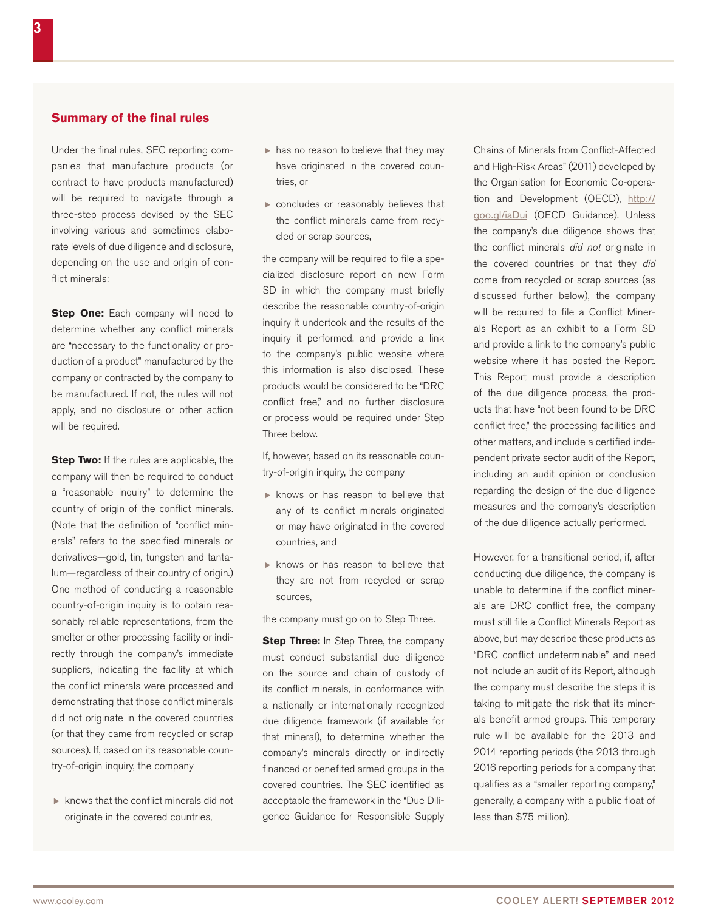#### **Summary of the final rules**

Under the final rules, SEC reporting companies that manufacture products (or contract to have products manufactured) will be required to navigate through a three-step process devised by the SEC involving various and sometimes elaborate levels of due diligence and disclosure, depending on the use and origin of conflict minerals:

**Step One:** Each company will need to determine whether any conflict minerals are "necessary to the functionality or production of a product" manufactured by the company or contracted by the company to be manufactured. If not, the rules will not apply, and no disclosure or other action will be required.

**Step Two:** If the rules are applicable, the company will then be required to conduct a "reasonable inquiry" to determine the country of origin of the conflict minerals. (Note that the definition of "conflict minerals" refers to the specified minerals or derivatives—gold, tin, tungsten and tantalum—regardless of their country of origin.) One method of conducting a reasonable country-of-origin inquiry is to obtain reasonably reliable representations, from the smelter or other processing facility or indirectly through the company's immediate suppliers, indicating the facility at which the conflict minerals were processed and demonstrating that those conflict minerals did not originate in the covered countries (or that they came from recycled or scrap sources). If, based on its reasonable country-of-origin inquiry, the company

 $\blacktriangleright$  knows that the conflict minerals did not originate in the covered countries,

- $\blacktriangleright$  has no reason to believe that they may have originated in the covered countries, or
- $\triangleright$  concludes or reasonably believes that the conflict minerals came from recycled or scrap sources,

the company will be required to file a specialized disclosure report on new Form SD in which the company must briefly describe the reasonable country-of-origin inquiry it undertook and the results of the inquiry it performed, and provide a link to the company's public website where this information is also disclosed. These products would be considered to be "DRC conflict free," and no further disclosure or process would be required under Step Three below.

If, however, based on its reasonable country-of-origin inquiry, the company

- $\triangleright$  knows or has reason to believe that any of its conflict minerals originated or may have originated in the covered countries, and
- $\triangleright$  knows or has reason to believe that they are not from recycled or scrap sources,

the company must go on to Step Three.

**Step Three:** In Step Three, the company must conduct substantial due diligence on the source and chain of custody of its conflict minerals, in conformance with a nationally or internationally recognized due diligence framework (if available for that mineral), to determine whether the company's minerals directly or indirectly financed or benefited armed groups in the covered countries. The SEC identified as acceptable the framework in the "Due Diligence Guidance for Responsible Supply Chains of Minerals from Conflict-Affected and High-Risk Areas" (2011) developed by the Organisation for Economic Co-operation and Development (OECD), [http://](http://goo.gl/iaDui) [goo.gl/iaDui](http://goo.gl/iaDui) (OECD Guidance). Unless the company's due diligence shows that the conflict minerals *did not* originate in the covered countries or that they *did* come from recycled or scrap sources (as discussed further below), the company will be required to file a Conflict Minerals Report as an exhibit to a Form SD and provide a link to the company's public website where it has posted the Report. This Report must provide a description of the due diligence process, the products that have "not been found to be DRC conflict free," the processing facilities and other matters, and include a certified independent private sector audit of the Report, including an audit opinion or conclusion regarding the design of the due diligence measures and the company's description of the due diligence actually performed.

However, for a transitional period, if, after conducting due diligence, the company is unable to determine if the conflict minerals are DRC conflict free, the company must still file a Conflict Minerals Report as above, but may describe these products as "DRC conflict undeterminable" and need not include an audit of its Report, although the company must describe the steps it is taking to mitigate the risk that its minerals benefit armed groups. This temporary rule will be available for the 2013 and 2014 reporting periods (the 2013 through 2016 reporting periods for a company that qualifies as a "smaller reporting company," generally, a company with a public float of less than \$75 million).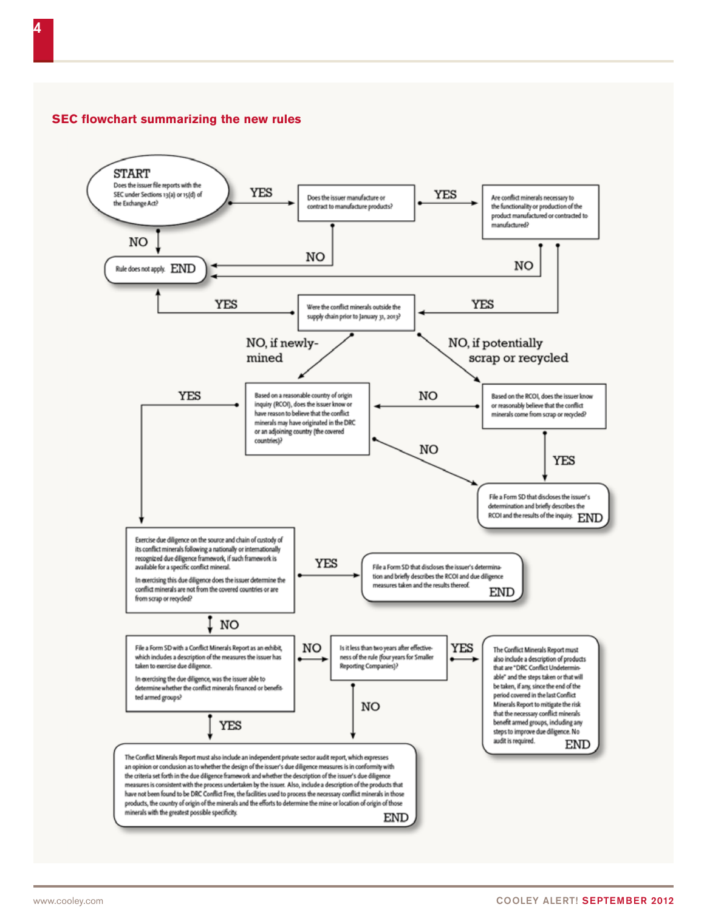# **SEC flowchart summarizing the new rules**

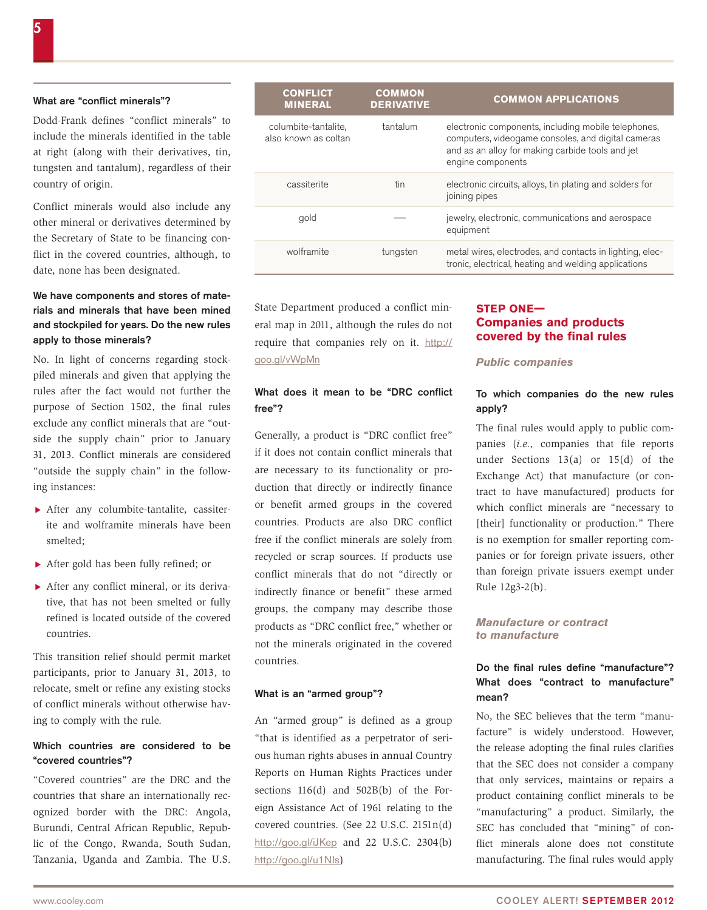#### What are "conflict minerals"?

Dodd-Frank defines "conflict minerals" to include the minerals identified in the table at right (along with their derivatives, tin, tungsten and tantalum), regardless of their country of origin.

Conflict minerals would also include any other mineral or derivatives determined by the Secretary of State to be financing conflict in the covered countries, although, to date, none has been designated.

## We have components and stores of materials and minerals that have been mined and stockpiled for years. Do the new rules apply to those minerals?

No. In light of concerns regarding stockpiled minerals and given that applying the rules after the fact would not further the purpose of Section 1502, the final rules exclude any conflict minerals that are "outside the supply chain" prior to January 31, 2013. Conflict minerals are considered "outside the supply chain" in the following instances:

- $\blacktriangleright$  After any columbite-tantalite, cassiterite and wolframite minerals have been smelted;
- $\blacktriangleright$  After gold has been fully refined; or
- $\blacktriangleright$  After any conflict mineral, or its derivative, that has not been smelted or fully refined is located outside of the covered countries.

This transition relief should permit market participants, prior to January 31, 2013, to relocate, smelt or refine any existing stocks of conflict minerals without otherwise having to comply with the rule.

#### Which countries are considered to be "covered countries"?

"Covered countries" are the DRC and the countries that share an internationally recognized border with the DRC: Angola, Burundi, Central African Republic, Republic of the Congo, Rwanda, South Sudan, Tanzania, Uganda and Zambia. The U.S.

| <b>CONFLICT</b><br><b>MINERAL</b>            | <b>COMMON</b><br><b>DERIVATIVE</b> | <b>COMMON APPLICATIONS</b>                                                                                                                                                         |
|----------------------------------------------|------------------------------------|------------------------------------------------------------------------------------------------------------------------------------------------------------------------------------|
| columbite-tantalite,<br>also known as coltan | tantalum                           | electronic components, including mobile telephones,<br>computers, videogame consoles, and digital cameras<br>and as an alloy for making carbide tools and jet<br>engine components |
| cassiterite                                  | tin                                | electronic circuits, alloys, tin plating and solders for<br>joining pipes                                                                                                          |
| gold                                         |                                    | jewelry, electronic, communications and aerospace<br>equipment                                                                                                                     |
| wolframite                                   | tungsten                           | metal wires, electrodes, and contacts in lighting, elec-<br>tronic, electrical, heating and welding applications                                                                   |

State Department produced a conflict mineral map in 2011, although the rules do not require that companies rely on it. [http://](http://goo.gl/vWpMn) [goo.gl/vWpMn](http://goo.gl/vWpMn)

## What does it mean to be "DRC conflict free"?

Generally, a product is "DRC conflict free" if it does not contain conflict minerals that are necessary to its functionality or production that directly or indirectly finance or benefit armed groups in the covered countries. Products are also DRC conflict free if the conflict minerals are solely from recycled or scrap sources. If products use conflict minerals that do not "directly or indirectly finance or benefit" these armed groups, the company may describe those products as "DRC conflict free," whether or not the minerals originated in the covered countries.

#### What is an "armed group"?

An "armed group" is defined as a group "that is identified as a perpetrator of serious human rights abuses in annual Country Reports on Human Rights Practices under sections 116(d) and 502B(b) of the Foreign Assistance Act of 1961 relating to the covered countries. (See 22 U.S.C. 2151n(d) <http://goo.gl/iJKep> and 22 U.S.C. 2304(b) <http://goo.gl/u1NIs>)

## **STEP ONE— Companies and products covered by the final rules**

*Public companies*

#### To which companies do the new rules apply?

The final rules would apply to public companies (*i.e.,* companies that file reports under Sections 13(a) or 15(d) of the Exchange Act) that manufacture (or contract to have manufactured) products for which conflict minerals are "necessary to [their] functionality or production." There is no exemption for smaller reporting companies or for foreign private issuers, other than foreign private issuers exempt under Rule 12g3-2(b).

#### *Manufacture or contract to manufacture*

#### Do the final rules define "manufacture"? What does "contract to manufacture" mean?

No, the SEC believes that the term "manufacture" is widely understood. However, the release adopting the final rules clarifies that the SEC does not consider a company that only services, maintains or repairs a product containing conflict minerals to be "manufacturing" a product. Similarly, the SEC has concluded that "mining" of conflict minerals alone does not constitute manufacturing. The final rules would apply

5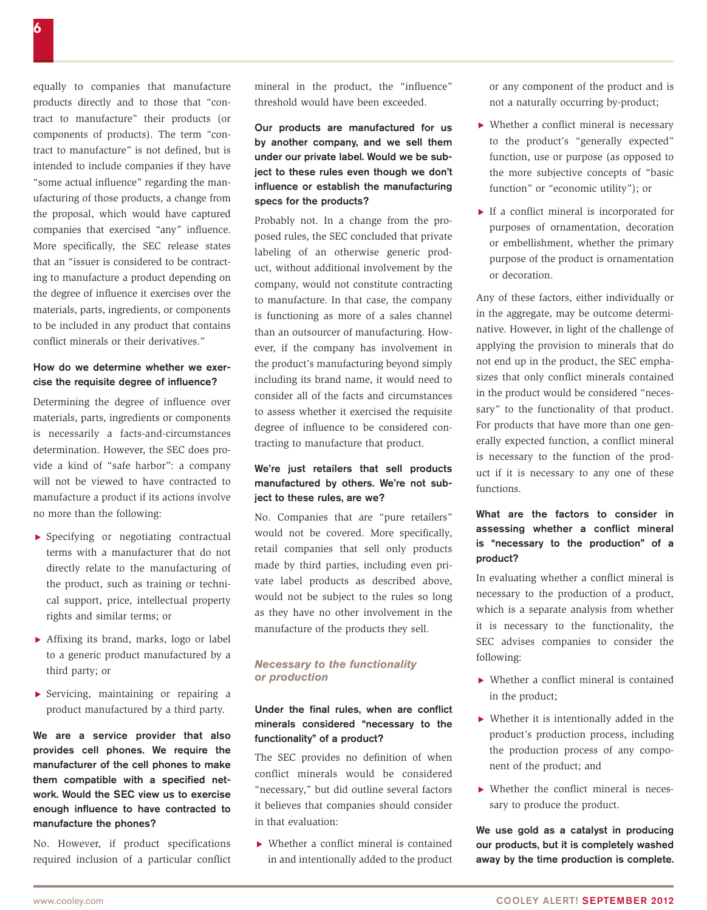equally to companies that manufacture products directly and to those that "contract to manufacture" their products (or components of products). The term "contract to manufacture" is not defined, but is intended to include companies if they have "some actual influence" regarding the manufacturing of those products, a change from the proposal, which would have captured companies that exercised "any" influence. More specifically, the SEC release states that an "issuer is considered to be contracting to manufacture a product depending on the degree of influence it exercises over the materials, parts, ingredients, or components to be included in any product that contains conflict minerals or their derivatives."

## How do we determine whether we exercise the requisite degree of influence?

Determining the degree of influence over materials, parts, ingredients or components is necessarily a facts-and-circumstances determination. However, the SEC does provide a kind of "safe harbor": a company will not be viewed to have contracted to manufacture a product if its actions involve no more than the following:

- $\triangleright$  Specifying or negotiating contractual terms with a manufacturer that do not directly relate to the manufacturing of the product, such as training or technical support, price, intellectual property rights and similar terms; or
- $\blacktriangleright$  Affixing its brand, marks, logo or label to a generic product manufactured by a third party; or
- $\triangleright$  Servicing, maintaining or repairing a product manufactured by a third party.

We are a service provider that also provides cell phones. We require the manufacturer of the cell phones to make them compatible with a specified network. Would the SEC view us to exercise enough influence to have contracted to manufacture the phones?

No. However, if product specifications required inclusion of a particular conflict mineral in the product, the "influence" threshold would have been exceeded.

Our products are manufactured for us by another company, and we sell them under our private label. Would we be subject to these rules even though we don't influence or establish the manufacturing specs for the products?

Probably not. In a change from the proposed rules, the SEC concluded that private labeling of an otherwise generic product, without additional involvement by the company, would not constitute contracting to manufacture. In that case, the company is functioning as more of a sales channel than an outsourcer of manufacturing. However, if the company has involvement in the product's manufacturing beyond simply including its brand name, it would need to consider all of the facts and circumstances to assess whether it exercised the requisite degree of influence to be considered contracting to manufacture that product.

## We're just retailers that sell products manufactured by others. We're not subject to these rules, are we?

No. Companies that are "pure retailers" would not be covered. More specifically, retail companies that sell only products made by third parties, including even private label products as described above, would not be subject to the rules so long as they have no other involvement in the manufacture of the products they sell.

## *Necessary to the functionality or production*

## Under the final rules, when are conflict minerals considered "necessary to the functionality" of a product?

The SEC provides no definition of when conflict minerals would be considered "necessary," but did outline several factors it believes that companies should consider in that evaluation:

 $\blacktriangleright$  Whether a conflict mineral is contained in and intentionally added to the product or any component of the product and is not a naturally occurring by-product;

- $\triangleright$  Whether a conflict mineral is necessary to the product's "generally expected" function, use or purpose (as opposed to the more subjective concepts of "basic function" or "economic utility"); or
- $\blacktriangleright$  If a conflict mineral is incorporated for purposes of ornamentation, decoration or embellishment, whether the primary purpose of the product is ornamentation or decoration.

Any of these factors, either individually or in the aggregate, may be outcome determinative. However, in light of the challenge of applying the provision to minerals that do not end up in the product, the SEC emphasizes that only conflict minerals contained in the product would be considered "necessary" to the functionality of that product. For products that have more than one generally expected function, a conflict mineral is necessary to the function of the product if it is necessary to any one of these functions.

# What are the factors to consider in assessing whether a conflict mineral is "necessary to the production" of a product?

In evaluating whether a conflict mineral is necessary to the production of a product, which is a separate analysis from whether it is necessary to the functionality, the SEC advises companies to consider the following:

- $\blacktriangleright$  Whether a conflict mineral is contained in the product;
- $\blacktriangleright$  Whether it is intentionally added in the product's production process, including the production process of any component of the product; and
- $\triangleright$  Whether the conflict mineral is necessary to produce the product.

We use gold as a catalyst in producing our products, but it is completely washed away by the time production is complete.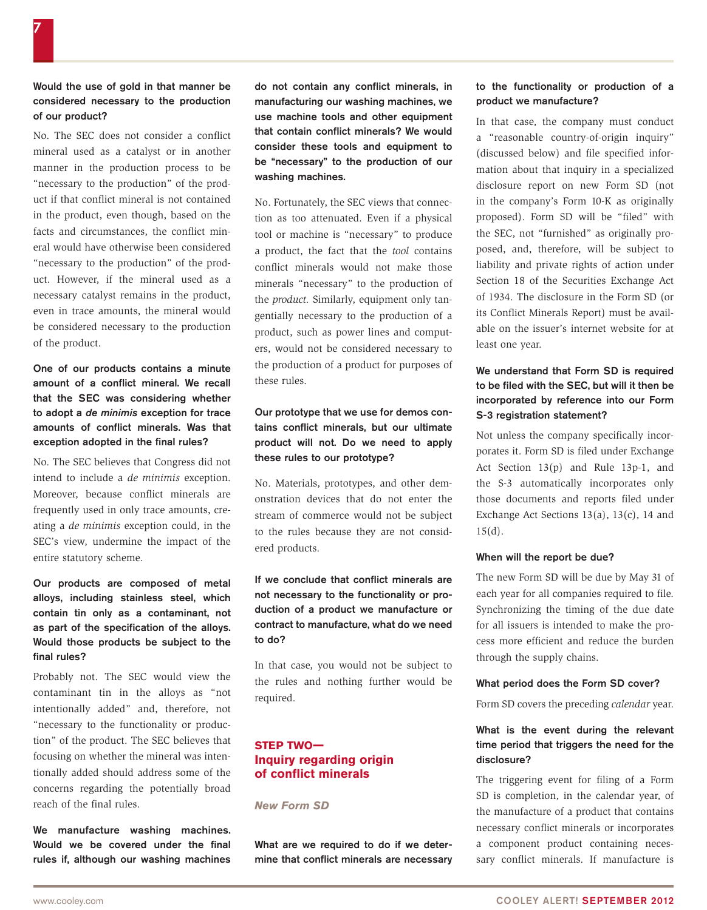## Would the use of gold in that manner be considered necessary to the production of our product?

No. The SEC does not consider a conflict mineral used as a catalyst or in another manner in the production process to be "necessary to the production" of the product if that conflict mineral is not contained in the product, even though, based on the facts and circumstances, the conflict mineral would have otherwise been considered "necessary to the production" of the product. However, if the mineral used as a necessary catalyst remains in the product, even in trace amounts, the mineral would be considered necessary to the production of the product.

One of our products contains a minute amount of a conflict mineral. We recall that the SEC was considering whether to adopt a *de minimis* exception for trace amounts of conflict minerals. Was that exception adopted in the final rules?

No. The SEC believes that Congress did not intend to include a *de minimis* exception. Moreover, because conflict minerals are frequently used in only trace amounts, creating a *de minimis* exception could, in the SEC's view, undermine the impact of the entire statutory scheme.

## Our products are composed of metal alloys, including stainless steel, which contain tin only as a contaminant, not as part of the specification of the alloys. Would those products be subject to the final rules?

Probably not. The SEC would view the contaminant tin in the alloys as "not intentionally added" and, therefore, not "necessary to the functionality or production" of the product. The SEC believes that focusing on whether the mineral was intentionally added should address some of the concerns regarding the potentially broad reach of the final rules.

We manufacture washing machines. Would we be covered under the final rules if, although our washing machines do not contain any conflict minerals, in manufacturing our washing machines, we use machine tools and other equipment that contain conflict minerals? We would consider these tools and equipment to be "necessary" to the production of our washing machines.

No. Fortunately, the SEC views that connection as too attenuated. Even if a physical tool or machine is "necessary" to produce a product, the fact that the *tool* contains conflict minerals would not make those minerals "necessary" to the production of the *product.* Similarly, equipment only tangentially necessary to the production of a product, such as power lines and computers, would not be considered necessary to the production of a product for purposes of these rules.

# Our prototype that we use for demos contains conflict minerals, but our ultimate product will not. Do we need to apply these rules to our prototype?

No. Materials, prototypes, and other demonstration devices that do not enter the stream of commerce would not be subject to the rules because they are not considered products.

## If we conclude that conflict minerals are not necessary to the functionality or production of a product we manufacture or contract to manufacture, what do we need to do?

In that case, you would not be subject to the rules and nothing further would be required.

# **STEP TWO— Inquiry regarding origin of conflict minerals**

*New Form SD*

What are we required to do if we determine that conflict minerals are necessary

#### to the functionality or production of a product we manufacture?

In that case, the company must conduct a "reasonable country-of-origin inquiry" (discussed below) and file specified information about that inquiry in a specialized disclosure report on new Form SD (not in the company's Form 10-K as originally proposed). Form SD will be "filed" with the SEC, not "furnished" as originally proposed, and, therefore, will be subject to liability and private rights of action under Section 18 of the Securities Exchange Act of 1934. The disclosure in the Form SD (or its Conflict Minerals Report) must be available on the issuer's internet website for at least one year.

## We understand that Form SD is required to be filed with the SEC, but will it then be incorporated by reference into our Form S-3 registration statement?

Not unless the company specifically incorporates it. Form SD is filed under Exchange Act Section 13(p) and Rule 13p-1, and the S-3 automatically incorporates only those documents and reports filed under Exchange Act Sections 13(a), 13(c), 14 and  $15(d)$ .

#### When will the report be due?

The new Form SD will be due by May 31 of each year for all companies required to file. Synchronizing the timing of the due date for all issuers is intended to make the process more efficient and reduce the burden through the supply chains.

#### What period does the Form SD cover?

Form SD covers the preceding *calendar* year.

## What is the event during the relevant time period that triggers the need for the disclosure?

The triggering event for filing of a Form SD is completion, in the calendar year, of the manufacture of a product that contains necessary conflict minerals or incorporates a component product containing necessary conflict minerals. If manufacture is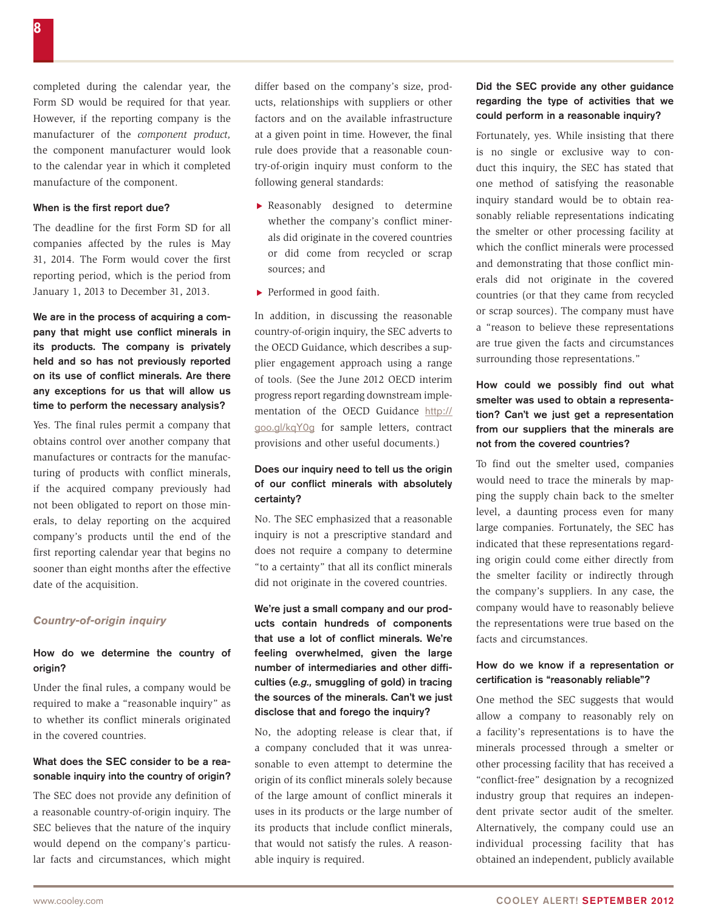8

completed during the calendar year, the Form SD would be required for that year. However, if the reporting company is the manufacturer of the *component product,*  the component manufacturer would look to the calendar year in which it completed manufacture of the component.

#### When is the first report due?

The deadline for the first Form SD for all companies affected by the rules is May 31, 2014. The Form would cover the first reporting period, which is the period from January 1, 2013 to December 31, 2013.

We are in the process of acquiring a company that might use conflict minerals in its products. The company is privately held and so has not previously reported on its use of conflict minerals. Are there any exceptions for us that will allow us time to perform the necessary analysis?

Yes. The final rules permit a company that obtains control over another company that manufactures or contracts for the manufacturing of products with conflict minerals, if the acquired company previously had not been obligated to report on those minerals, to delay reporting on the acquired company's products until the end of the first reporting calendar year that begins no sooner than eight months after the effective date of the acquisition.

#### *Country-of-origin inquiry*

#### How do we determine the country of origin?

Under the final rules, a company would be required to make a "reasonable inquiry" as to whether its conflict minerals originated in the covered countries.

#### What does the SEC consider to be a reasonable inquiry into the country of origin?

The SEC does not provide any definition of a reasonable country-of-origin inquiry. The SEC believes that the nature of the inquiry would depend on the company's particular facts and circumstances, which might

differ based on the company's size, products, relationships with suppliers or other factors and on the available infrastructure at a given point in time. However, the final rule does provide that a reasonable country-of-origin inquiry must conform to the following general standards:

- $\blacktriangleright$  Reasonably designed to determine whether the company's conflict minerals did originate in the covered countries or did come from recycled or scrap sources; and
- $\blacktriangleright$  Performed in good faith.

In addition, in discussing the reasonable country-of-origin inquiry, the SEC adverts to the OECD Guidance, which describes a supplier engagement approach using a range of tools. (See the June 2012 OECD interim progress report regarding downstream implementation of the OECD Guidance [http://](http://goo.gl/kqY0g) [goo.gl/kqY0g](http://goo.gl/kqY0g) for sample letters, contract provisions and other useful documents.)

#### Does our inquiry need to tell us the origin of our conflict minerals with absolutely certainty?

No. The SEC emphasized that a reasonable inquiry is not a prescriptive standard and does not require a company to determine "to a certainty" that all its conflict minerals did not originate in the covered countries.

We're just a small company and our products contain hundreds of components that use a lot of conflict minerals. We're feeling overwhelmed, given the large number of intermediaries and other difficulties (*e.g.,* smuggling of gold) in tracing the sources of the minerals. Can't we just disclose that and forego the inquiry?

No, the adopting release is clear that, if a company concluded that it was unreasonable to even attempt to determine the origin of its conflict minerals solely because of the large amount of conflict minerals it uses in its products or the large number of its products that include conflict minerals, that would not satisfy the rules. A reasonable inquiry is required.

## Did the SEC provide any other guidance regarding the type of activities that we could perform in a reasonable inquiry?

Fortunately, yes. While insisting that there is no single or exclusive way to conduct this inquiry, the SEC has stated that one method of satisfying the reasonable inquiry standard would be to obtain reasonably reliable representations indicating the smelter or other processing facility at which the conflict minerals were processed and demonstrating that those conflict minerals did not originate in the covered countries (or that they came from recycled or scrap sources). The company must have a "reason to believe these representations are true given the facts and circumstances surrounding those representations."

## How could we possibly find out what smelter was used to obtain a representation? Can't we just get a representation from our suppliers that the minerals are not from the covered countries?

To find out the smelter used, companies would need to trace the minerals by mapping the supply chain back to the smelter level, a daunting process even for many large companies. Fortunately, the SEC has indicated that these representations regarding origin could come either directly from the smelter facility or indirectly through the company's suppliers. In any case, the company would have to reasonably believe the representations were true based on the facts and circumstances.

## How do we know if a representation or certification is "reasonably reliable"?

One method the SEC suggests that would allow a company to reasonably rely on a facility's representations is to have the minerals processed through a smelter or other processing facility that has received a "conflict-free" designation by a recognized industry group that requires an independent private sector audit of the smelter. Alternatively, the company could use an individual processing facility that has obtained an independent, publicly available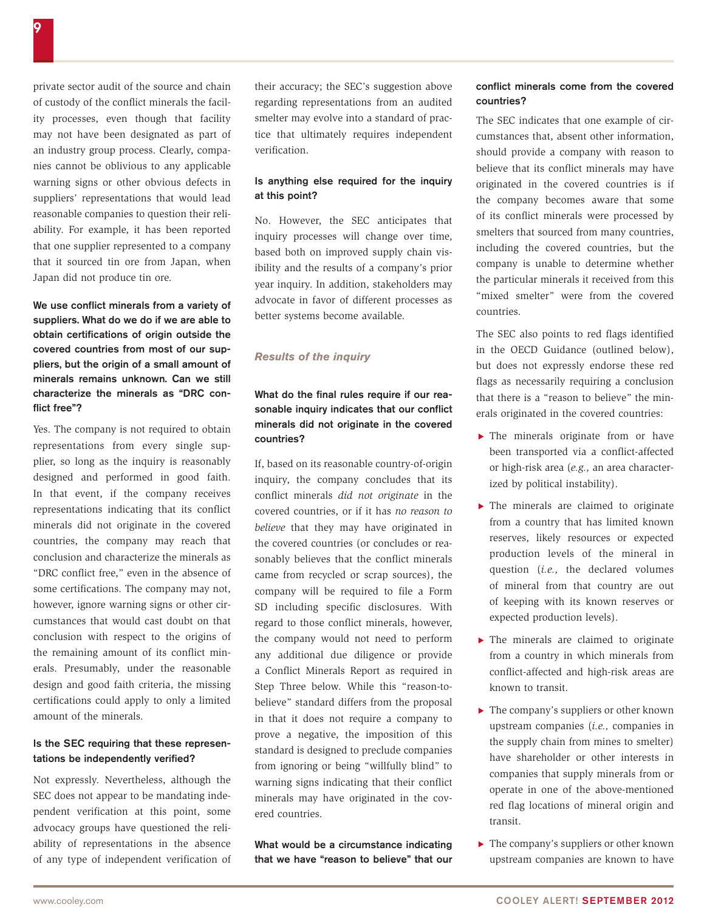private sector audit of the source and chain of custody of the conflict minerals the facility processes, even though that facility may not have been designated as part of an industry group process. Clearly, companies cannot be oblivious to any applicable warning signs or other obvious defects in suppliers' representations that would lead reasonable companies to question their reliability. For example, it has been reported that one supplier represented to a company that it sourced tin ore from Japan, when Japan did not produce tin ore.

We use conflict minerals from a variety of suppliers. What do we do if we are able to obtain certifications of origin outside the covered countries from most of our suppliers, but the origin of a small amount of minerals remains unknown. Can we still characterize the minerals as "DRC conflict free"?

Yes. The company is not required to obtain representations from every single supplier, so long as the inquiry is reasonably designed and performed in good faith. In that event, if the company receives representations indicating that its conflict minerals did not originate in the covered countries, the company may reach that conclusion and characterize the minerals as "DRC conflict free," even in the absence of some certifications. The company may not, however, ignore warning signs or other circumstances that would cast doubt on that conclusion with respect to the origins of the remaining amount of its conflict minerals. Presumably, under the reasonable design and good faith criteria, the missing certifications could apply to only a limited amount of the minerals.

# Is the SEC requiring that these representations be independently verified?

Not expressly. Nevertheless, although the SEC does not appear to be mandating independent verification at this point, some advocacy groups have questioned the reliability of representations in the absence of any type of independent verification of their accuracy; the SEC's suggestion above regarding representations from an audited smelter may evolve into a standard of practice that ultimately requires independent verification.

#### Is anything else required for the inquiry at this point?

No. However, the SEC anticipates that inquiry processes will change over time, based both on improved supply chain visibility and the results of a company's prior year inquiry. In addition, stakeholders may advocate in favor of different processes as better systems become available.

#### *Results of the inquiry*

## What do the final rules require if our reasonable inquiry indicates that our conflict minerals did not originate in the covered countries?

If, based on its reasonable country-of-origin inquiry, the company concludes that its conflict minerals *did not originate* in the covered countries, or if it has *no reason to believe* that they may have originated in the covered countries (or concludes or reasonably believes that the conflict minerals came from recycled or scrap sources), the company will be required to file a Form SD including specific disclosures. With regard to those conflict minerals, however, the company would not need to perform any additional due diligence or provide a Conflict Minerals Report as required in Step Three below. While this "reason-tobelieve" standard differs from the proposal in that it does not require a company to prove a negative, the imposition of this standard is designed to preclude companies from ignoring or being "willfully blind" to warning signs indicating that their conflict minerals may have originated in the covered countries.

What would be a circumstance indicating that we have "reason to believe" that our

#### conflict minerals come from the covered countries?

The SEC indicates that one example of circumstances that, absent other information, should provide a company with reason to believe that its conflict minerals may have originated in the covered countries is if the company becomes aware that some of its conflict minerals were processed by smelters that sourced from many countries, including the covered countries, but the company is unable to determine whether the particular minerals it received from this "mixed smelter" were from the covered countries.

The SEC also points to red flags identified in the OECD Guidance (outlined below), but does not expressly endorse these red flags as necessarily requiring a conclusion that there is a "reason to believe" the minerals originated in the covered countries:

- $\blacktriangleright$  The minerals originate from or have been transported via a conflict-affected or high-risk area (*e.g.,* an area characterized by political instability).
- $\blacktriangleright$  The minerals are claimed to originate from a country that has limited known reserves, likely resources or expected production levels of the mineral in question (*i.e.,* the declared volumes of mineral from that country are out of keeping with its known reserves or expected production levels).
- $\blacktriangleright$  The minerals are claimed to originate from a country in which minerals from conflict-affected and high-risk areas are known to transit.
- $\blacktriangleright$  The company's suppliers or other known upstream companies (*i.e.,* companies in the supply chain from mines to smelter) have shareholder or other interests in companies that supply minerals from or operate in one of the above-mentioned red flag locations of mineral origin and transit.
- $\blacktriangleright$  The company's suppliers or other known upstream companies are known to have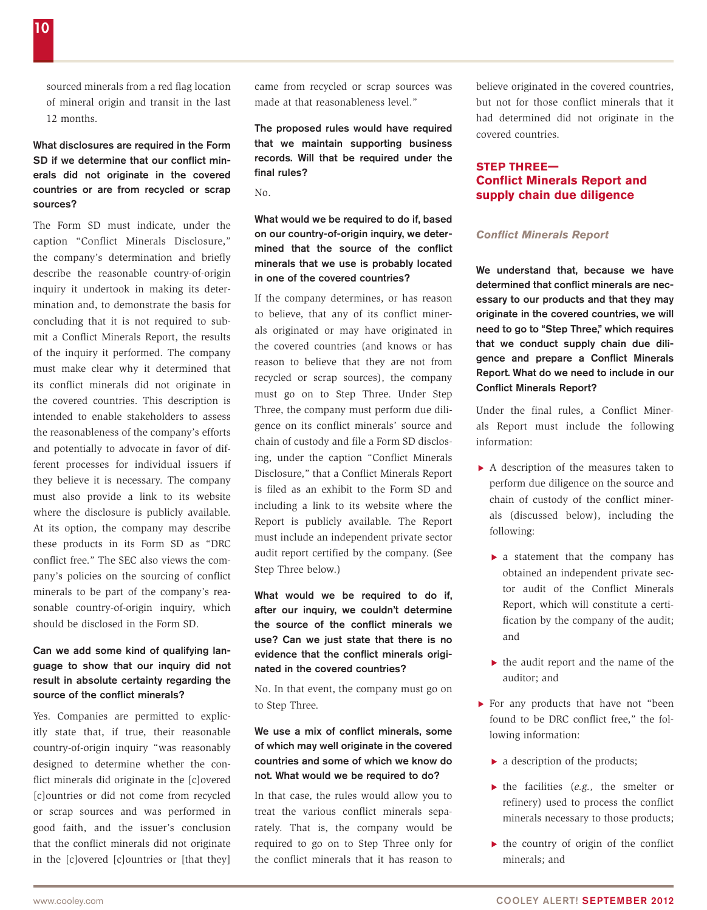sourced minerals from a red flag location of mineral origin and transit in the last 12 months.

## What disclosures are required in the Form SD if we determine that our conflict minerals did not originate in the covered countries or are from recycled or scrap sources?

The Form SD must indicate, under the caption "Conflict Minerals Disclosure," the company's determination and briefly describe the reasonable country-of-origin inquiry it undertook in making its determination and, to demonstrate the basis for concluding that it is not required to submit a Conflict Minerals Report, the results of the inquiry it performed. The company must make clear why it determined that its conflict minerals did not originate in the covered countries. This description is intended to enable stakeholders to assess the reasonableness of the company's efforts and potentially to advocate in favor of different processes for individual issuers if they believe it is necessary. The company must also provide a link to its website where the disclosure is publicly available. At its option, the company may describe these products in its Form SD as "DRC conflict free." The SEC also views the company's policies on the sourcing of conflict minerals to be part of the company's reasonable country-of-origin inquiry, which should be disclosed in the Form SD.

## Can we add some kind of qualifying language to show that our inquiry did not result in absolute certainty regarding the source of the conflict minerals?

Yes. Companies are permitted to explicitly state that, if true, their reasonable country-of-origin inquiry "was reasonably designed to determine whether the conflict minerals did originate in the [c]overed [c]ountries or did not come from recycled or scrap sources and was performed in good faith, and the issuer's conclusion that the conflict minerals did not originate in the [c]overed [c]ountries or [that they]

came from recycled or scrap sources was made at that reasonableness level."

The proposed rules would have required that we maintain supporting business records. Will that be required under the final rules?

 $N_{\Omega}$ 

What would we be required to do if, based on our country-of-origin inquiry, we determined that the source of the conflict minerals that we use is probably located in one of the covered countries?

If the company determines, or has reason to believe, that any of its conflict minerals originated or may have originated in the covered countries (and knows or has reason to believe that they are not from recycled or scrap sources), the company must go on to Step Three. Under Step Three, the company must perform due diligence on its conflict minerals' source and chain of custody and file a Form SD disclosing, under the caption "Conflict Minerals Disclosure," that a Conflict Minerals Report is filed as an exhibit to the Form SD and including a link to its website where the Report is publicly available. The Report must include an independent private sector audit report certified by the company. (See Step Three below.)

What would we be required to do if, after our inquiry, we couldn't determine the source of the conflict minerals we use? Can we just state that there is no evidence that the conflict minerals originated in the covered countries?

No. In that event, the company must go on to Step Three.

## We use a mix of conflict minerals, some of which may well originate in the covered countries and some of which we know do not. What would we be required to do?

In that case, the rules would allow you to treat the various conflict minerals separately. That is, the company would be required to go on to Step Three only for the conflict minerals that it has reason to

believe originated in the covered countries, but not for those conflict minerals that it had determined did not originate in the covered countries.

## **STEP THREE— Conflict Minerals Report and supply chain due diligence**

#### *Conflict Minerals Report*

We understand that, because we have determined that conflict minerals are necessary to our products and that they may originate in the covered countries, we will need to go to "Step Three," which requires that we conduct supply chain due diligence and prepare a Conflict Minerals Report. What do we need to include in our Conflict Minerals Report?

Under the final rules, a Conflict Minerals Report must include the following information:

- $\triangleright$  A description of the measures taken to perform due diligence on the source and chain of custody of the conflict minerals (discussed below), including the following:
	- $\blacktriangleright$  a statement that the company has obtained an independent private sector audit of the Conflict Minerals Report, which will constitute a certification by the company of the audit; and
	- $\blacktriangleright$  the audit report and the name of the auditor; and
- $\blacktriangleright$  For any products that have not "been found to be DRC conflict free," the following information:
	- $\blacktriangleright$  a description of the products;
	- ▶ the facilities (*e.g.*, the smelter or refinery) used to process the conflict minerals necessary to those products;
	- $\blacktriangleright$  the country of origin of the conflict minerals; and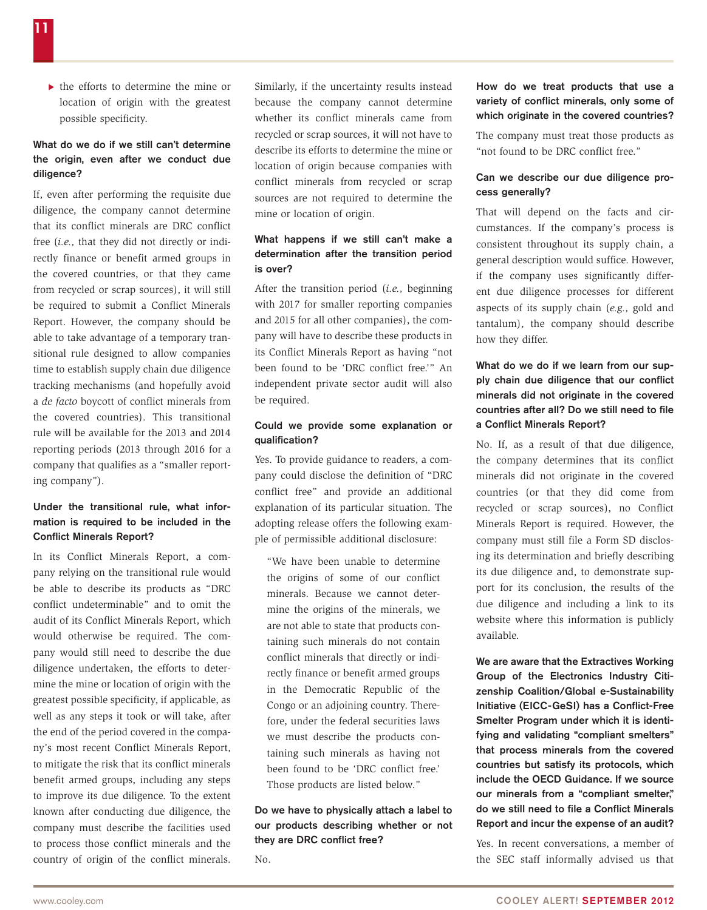$\blacktriangleright$  the efforts to determine the mine or location of origin with the greatest possible specificity.

## What do we do if we still can't determine the origin, even after we conduct due diligence?

If, even after performing the requisite due diligence, the company cannot determine that its conflict minerals are DRC conflict free (*i.e.,* that they did not directly or indirectly finance or benefit armed groups in the covered countries, or that they came from recycled or scrap sources), it will still be required to submit a Conflict Minerals Report. However, the company should be able to take advantage of a temporary transitional rule designed to allow companies time to establish supply chain due diligence tracking mechanisms (and hopefully avoid a *de facto* boycott of conflict minerals from the covered countries). This transitional rule will be available for the 2013 and 2014 reporting periods (2013 through 2016 for a company that qualifies as a "smaller reporting company").

## Under the transitional rule, what information is required to be included in the Conflict Minerals Report?

In its Conflict Minerals Report, a company relying on the transitional rule would be able to describe its products as "DRC conflict undeterminable" and to omit the audit of its Conflict Minerals Report, which would otherwise be required. The company would still need to describe the due diligence undertaken, the efforts to determine the mine or location of origin with the greatest possible specificity, if applicable, as well as any steps it took or will take, after the end of the period covered in the company's most recent Conflict Minerals Report, to mitigate the risk that its conflict minerals benefit armed groups, including any steps to improve its due diligence. To the extent known after conducting due diligence, the company must describe the facilities used to process those conflict minerals and the country of origin of the conflict minerals.

Similarly, if the uncertainty results instead because the company cannot determine whether its conflict minerals came from recycled or scrap sources, it will not have to describe its efforts to determine the mine or location of origin because companies with conflict minerals from recycled or scrap sources are not required to determine the mine or location of origin.

## What happens if we still can't make a determination after the transition period is over?

After the transition period (*i.e.,* beginning with 2017 for smaller reporting companies and 2015 for all other companies), the company will have to describe these products in its Conflict Minerals Report as having "not been found to be 'DRC conflict free.'" An independent private sector audit will also be required.

#### Could we provide some explanation or qualification?

Yes. To provide guidance to readers, a company could disclose the definition of "DRC conflict free" and provide an additional explanation of its particular situation. The adopting release offers the following example of permissible additional disclosure:

"We have been unable to determine the origins of some of our conflict minerals. Because we cannot determine the origins of the minerals, we are not able to state that products containing such minerals do not contain conflict minerals that directly or indirectly finance or benefit armed groups in the Democratic Republic of the Congo or an adjoining country. Therefore, under the federal securities laws we must describe the products containing such minerals as having not been found to be 'DRC conflict free.' Those products are listed below."

# Do we have to physically attach a label to our products describing whether or not they are DRC conflict free?

 $N<sub>0</sub>$ 

## How do we treat products that use a variety of conflict minerals, only some of which originate in the covered countries?

The company must treat those products as "not found to be DRC conflict free."

#### Can we describe our due diligence process generally?

That will depend on the facts and circumstances. If the company's process is consistent throughout its supply chain, a general description would suffice. However, if the company uses significantly different due diligence processes for different aspects of its supply chain (*e.g.,* gold and tantalum), the company should describe how they differ.

## What do we do if we learn from our supply chain due diligence that our conflict minerals did not originate in the covered countries after all? Do we still need to file a Conflict Minerals Report?

No. If, as a result of that due diligence, the company determines that its conflict minerals did not originate in the covered countries (or that they did come from recycled or scrap sources), no Conflict Minerals Report is required. However, the company must still file a Form SD disclosing its determination and briefly describing its due diligence and, to demonstrate support for its conclusion, the results of the due diligence and including a link to its website where this information is publicly available.

We are aware that the Extractives Working Group of the Electronics Industry Citizenship Coalition/Global e-Sustainability Initiative (EICC-GeSI) has a Conflict-Free Smelter Program under which it is identifying and validating "compliant smelters" that process minerals from the covered countries but satisfy its protocols, which include the OECD Guidance. If we source our minerals from a "compliant smelter." do we still need to file a Conflict Minerals Report and incur the expense of an audit?

Yes. In recent conversations, a member of the SEC staff informally advised us that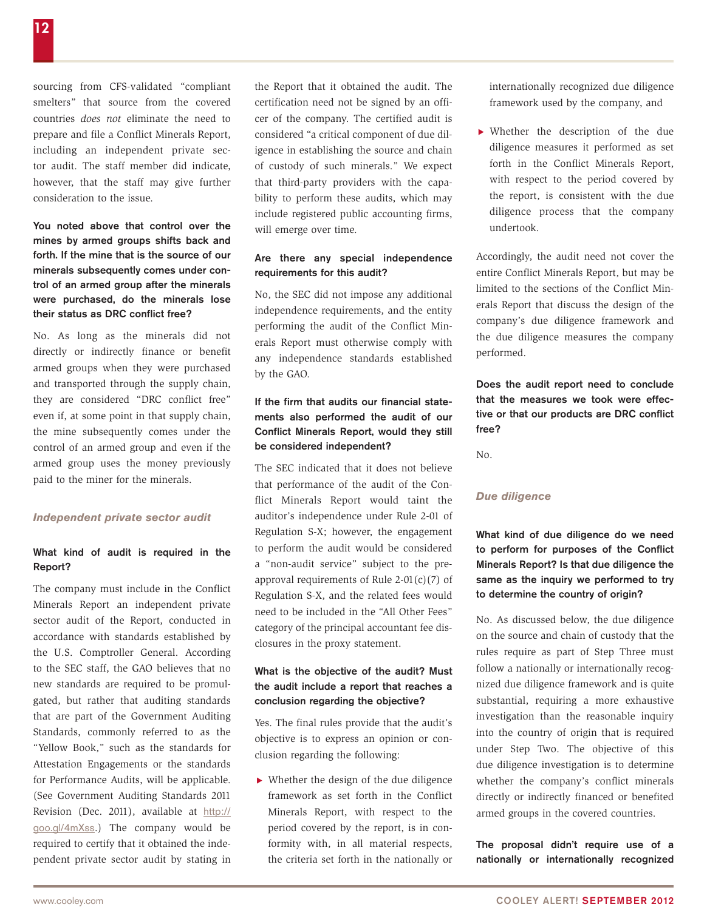sourcing from CFS-validated "compliant smelters" that source from the covered countries *does not* eliminate the need to prepare and file a Conflict Minerals Report, including an independent private sector audit. The staff member did indicate, however, that the staff may give further consideration to the issue.

You noted above that control over the mines by armed groups shifts back and forth. If the mine that is the source of our minerals subsequently comes under control of an armed group after the minerals were purchased, do the minerals lose their status as DRC conflict free?

No. As long as the minerals did not directly or indirectly finance or benefit armed groups when they were purchased and transported through the supply chain, they are considered "DRC conflict free" even if, at some point in that supply chain, the mine subsequently comes under the control of an armed group and even if the armed group uses the money previously paid to the miner for the minerals.

#### *Independent private sector audit*

## What kind of audit is required in the Report?

The company must include in the Conflict Minerals Report an independent private sector audit of the Report, conducted in accordance with standards established by the U.S. Comptroller General. According to the SEC staff, the GAO believes that no new standards are required to be promulgated, but rather that auditing standards that are part of the Government Auditing Standards, commonly referred to as the "Yellow Book," such as the standards for Attestation Engagements or the standards for Performance Audits, will be applicable. (See Government Auditing Standards 2011 Revision (Dec. 2011), available at [http://](http://goo.gl/4mXss) [goo.gl/4mXss](http://goo.gl/4mXss).) The company would be required to certify that it obtained the independent private sector audit by stating in

the Report that it obtained the audit. The certification need not be signed by an officer of the company. The certified audit is considered "a critical component of due diligence in establishing the source and chain of custody of such minerals." We expect that third-party providers with the capability to perform these audits, which may include registered public accounting firms, will emerge over time.

## Are there any special independence requirements for this audit?

No, the SEC did not impose any additional independence requirements, and the entity performing the audit of the Conflict Minerals Report must otherwise comply with any independence standards established by the GAO.

# If the firm that audits our financial statements also performed the audit of our Conflict Minerals Report, would they still be considered independent?

The SEC indicated that it does not believe that performance of the audit of the Conflict Minerals Report would taint the auditor's independence under Rule 2-01 of Regulation S-X; however, the engagement to perform the audit would be considered a "non-audit service" subject to the preapproval requirements of Rule  $2-01(c)(7)$  of Regulation S-X, and the related fees would need to be included in the "All Other Fees" category of the principal accountant fee disclosures in the proxy statement.

#### What is the objective of the audit? Must the audit include a report that reaches a conclusion regarding the objective?

Yes. The final rules provide that the audit's objective is to express an opinion or conclusion regarding the following:

 $\blacktriangleright$  Whether the design of the due diligence framework as set forth in the Conflict Minerals Report, with respect to the period covered by the report, is in conformity with, in all material respects, the criteria set forth in the nationally or internationally recognized due diligence framework used by the company, and

 $\blacktriangleright$  Whether the description of the due diligence measures it performed as set forth in the Conflict Minerals Report, with respect to the period covered by the report, is consistent with the due diligence process that the company undertook.

Accordingly, the audit need not cover the entire Conflict Minerals Report, but may be limited to the sections of the Conflict Minerals Report that discuss the design of the company's due diligence framework and the due diligence measures the company performed.

Does the audit report need to conclude that the measures we took were effective or that our products are DRC conflict free?

No.

#### *Due diligence*

What kind of due diligence do we need to perform for purposes of the Conflict Minerals Report? Is that due diligence the same as the inquiry we performed to try to determine the country of origin?

No. As discussed below, the due diligence on the source and chain of custody that the rules require as part of Step Three must follow a nationally or internationally recognized due diligence framework and is quite substantial, requiring a more exhaustive investigation than the reasonable inquiry into the country of origin that is required under Step Two. The objective of this due diligence investigation is to determine whether the company's conflict minerals directly or indirectly financed or benefited armed groups in the covered countries.

The proposal didn't require use of a nationally or internationally recognized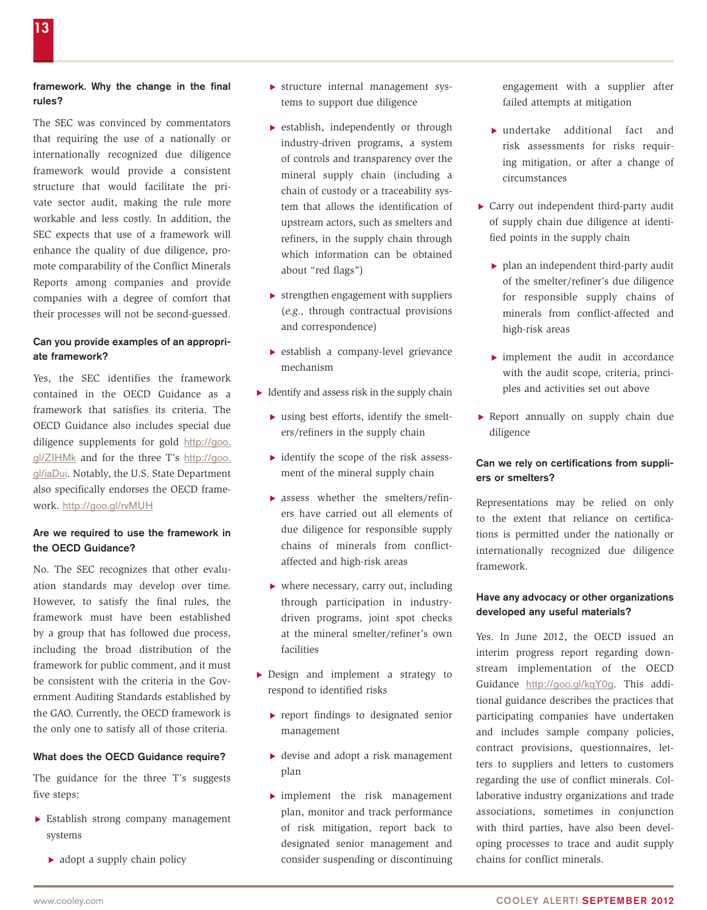## framework. Why the change in the final rules?

The SEC was convinced by commentators that requiring the use of a nationally or internationally recognized due diligence framework would provide a consistent structure that would facilitate the private sector audit, making the rule more workable and less costly. In addition, the SEC expects that use of a framework will enhance the quality of due diligence, promote comparability of the Conflict Minerals Reports among companies and provide companies with a degree of comfort that their processes will not be second-guessed.

#### Can you provide examples of an appropriate framework?

Yes, the SEC identifies the framework contained in the OECD Guidance as a framework that satisfies its criteria. The OECD Guidance also includes special due diligence supplements for gold [http://goo.](http://goo.gl/ZIHMk) [gl/ZIHMk](http://goo.gl/ZIHMk) and for the three T's [http://goo.](http://goo.gl/iaDui) [gl/iaDui](http://goo.gl/iaDui). Notably, the U.S. State Department also specifically endorses the OECD framework. <http://goo.gl/rvMUH>

#### Are we required to use the framework in the OECD Guidance?

No. The SEC recognizes that other evaluation standards may develop over time. However, to satisfy the final rules, the framework must have been established by a group that has followed due process, including the broad distribution of the framework for public comment, and it must be consistent with the criteria in the Government Auditing Standards established by the GAO. Currently, the OECD framework is the only one to satisfy all of those criteria.

#### What does the OECD Guidance require?

The guidance for the three T's suggests five steps:

- $\blacktriangleright$  Establish strong company management systems
	- $\blacktriangleright$  adopt a supply chain policy
- $\triangleright$  structure internal management systems to support due diligence
- $\blacktriangleright$  establish, independently or through industry-driven programs, a system of controls and transparency over the mineral supply chain (including a chain of custody or a traceability system that allows the identification of upstream actors, such as smelters and refiners, in the supply chain through which information can be obtained about "red flags")
- $\triangleright$  strengthen engagement with suppliers (*e.g.,* through contractual provisions and correspondence)
- $\blacktriangleright$  establish a company-level grievance mechanism
- $\blacktriangleright$  Identify and assess risk in the supply chain
	- $\blacktriangleright$  using best efforts, identify the smelters/refiners in the supply chain
	- $\blacktriangleright$  identify the scope of the risk assessment of the mineral supply chain
	- $\blacktriangleright$  assess whether the smelters/refiners have carried out all elements of due diligence for responsible supply chains of minerals from conflictaffected and high-risk areas
	- $\blacktriangleright$  where necessary, carry out, including through participation in industrydriven programs, joint spot checks at the mineral smelter/refiner's own facilities
- $\blacktriangleright$  Design and implement a strategy to respond to identified risks
	- $\blacktriangleright$  report findings to designated senior management
	- $\blacktriangleright$  devise and adopt a risk management plan
	- $\blacktriangleright$  implement the risk management plan, monitor and track performance of risk mitigation, report back to designated senior management and consider suspending or discontinuing

engagement with a supplier after failed attempts at mitigation

- $\blacktriangleright$  undertake additional fact and risk assessments for risks requiring mitigation, or after a change of circumstances
- $\triangleright$  Carry out independent third-party audit of supply chain due diligence at identified points in the supply chain
	- $\blacktriangleright$  plan an independent third-party audit of the smelter/refiner's due diligence for responsible supply chains of minerals from conflict-affected and high-risk areas
	- $\blacktriangleright$  implement the audit in accordance with the audit scope, criteria, principles and activities set out above
- $\blacktriangleright$  Report annually on supply chain due diligence

#### Can we rely on certifications from suppliers or smelters?

Representations may be relied on only to the extent that reliance on certifications is permitted under the nationally or internationally recognized due diligence framework.

#### Have any advocacy or other organizations developed any useful materials?

Yes. In June 2012, the OECD issued an interim progress report regarding downstream implementation of the OECD Guidance <http://goo.gl/kqY0g>. This additional guidance describes the practices that participating companies have undertaken and includes sample company policies, contract provisions, questionnaires, letters to suppliers and letters to customers regarding the use of conflict minerals. Collaborative industry organizations and trade associations, sometimes in conjunction with third parties, have also been developing processes to trace and audit supply chains for conflict minerals.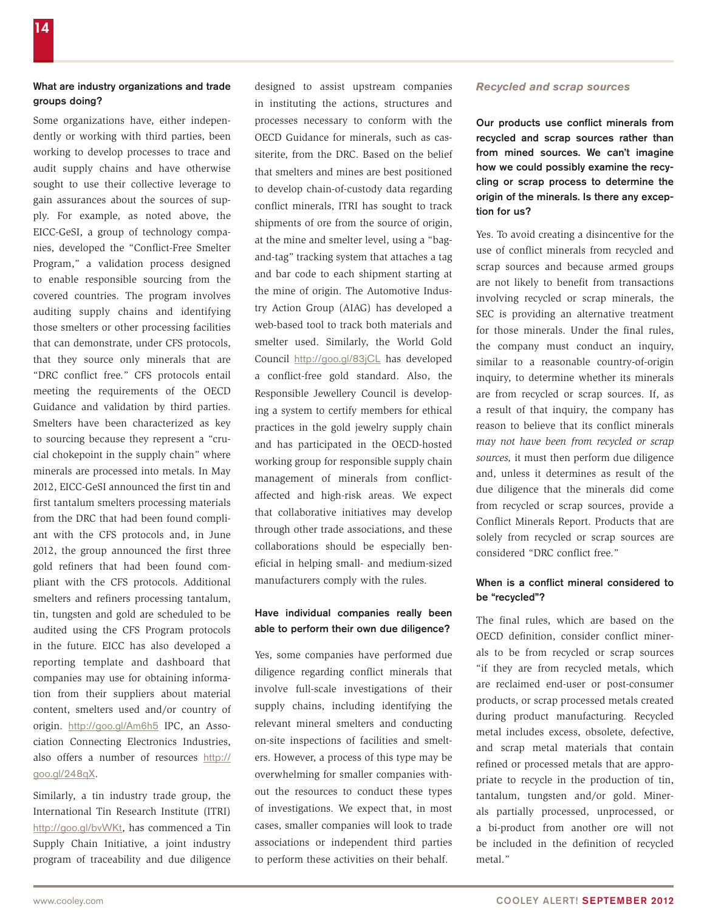## What are industry organizations and trade groups doing?

Some organizations have, either independently or working with third parties, been working to develop processes to trace and audit supply chains and have otherwise sought to use their collective leverage to gain assurances about the sources of supply. For example, as noted above, the EICC-GeSI, a group of technology companies, developed the "Conflict-Free Smelter Program," a validation process designed to enable responsible sourcing from the covered countries. The program involves auditing supply chains and identifying those smelters or other processing facilities that can demonstrate, under CFS protocols, that they source only minerals that are "DRC conflict free." CFS protocols entail meeting the requirements of the OECD Guidance and validation by third parties. Smelters have been characterized as key to sourcing because they represent a "crucial chokepoint in the supply chain" where minerals are processed into metals. In May 2012, EICC-GeSI announced the first tin and first tantalum smelters processing materials from the DRC that had been found compliant with the CFS protocols and, in June 2012, the group announced the first three gold refiners that had been found compliant with the CFS protocols. Additional smelters and refiners processing tantalum, tin, tungsten and gold are scheduled to be audited using the CFS Program protocols in the future. EICC has also developed a reporting template and dashboard that companies may use for obtaining information from their suppliers about material content, smelters used and/or country of origin. <http://goo.gl/Am6h5> IPC, an Association Connecting Electronics Industries, also offers a number of resources [http://](http://goo.gl/248qX) [goo.gl/248qX](http://goo.gl/248qX).

Similarly, a tin industry trade group, the International Tin Research Institute (ITRI) <http://goo.gl/bvWKt>, has commenced a Tin Supply Chain Initiative, a joint industry program of traceability and due diligence

designed to assist upstream companies in instituting the actions, structures and processes necessary to conform with the OECD Guidance for minerals, such as cassiterite, from the DRC. Based on the belief that smelters and mines are best positioned to develop chain-of-custody data regarding conflict minerals, ITRI has sought to track shipments of ore from the source of origin, at the mine and smelter level, using a "bagand-tag" tracking system that attaches a tag and bar code to each shipment starting at the mine of origin. The Automotive Industry Action Group (AIAG) has developed a web-based tool to track both materials and smelter used. Similarly, the World Gold Council <http://goo.gl/83jCL> has developed a conflict-free gold standard. Also, the Responsible Jewellery Council is developing a system to certify members for ethical practices in the gold jewelry supply chain and has participated in the OECD-hosted working group for responsible supply chain management of minerals from conflictaffected and high-risk areas. We expect that collaborative initiatives may develop through other trade associations, and these collaborations should be especially beneficial in helping small- and medium-sized manufacturers comply with the rules.

#### Have individual companies really been able to perform their own due diligence?

Yes, some companies have performed due diligence regarding conflict minerals that involve full-scale investigations of their supply chains, including identifying the relevant mineral smelters and conducting on-site inspections of facilities and smelters. However, a process of this type may be overwhelming for smaller companies without the resources to conduct these types of investigations. We expect that, in most cases, smaller companies will look to trade associations or independent third parties to perform these activities on their behalf.

#### *Recycled and scrap sources*

Our products use conflict minerals from recycled and scrap sources rather than from mined sources. We can't imagine how we could possibly examine the recycling or scrap process to determine the origin of the minerals. Is there any exception for us?

Yes. To avoid creating a disincentive for the use of conflict minerals from recycled and scrap sources and because armed groups are not likely to benefit from transactions involving recycled or scrap minerals, the SEC is providing an alternative treatment for those minerals. Under the final rules, the company must conduct an inquiry, similar to a reasonable country-of-origin inquiry, to determine whether its minerals are from recycled or scrap sources. If, as a result of that inquiry, the company has reason to believe that its conflict minerals *may not have been from recycled or scrap sources,* it must then perform due diligence and, unless it determines as result of the due diligence that the minerals did come from recycled or scrap sources, provide a Conflict Minerals Report. Products that are solely from recycled or scrap sources are considered "DRC conflict free."

## When is a conflict mineral considered to be "recycled"?

The final rules, which are based on the OECD definition, consider conflict minerals to be from recycled or scrap sources "if they are from recycled metals, which are reclaimed end-user or post-consumer products, or scrap processed metals created during product manufacturing. Recycled metal includes excess, obsolete, defective, and scrap metal materials that contain refined or processed metals that are appropriate to recycle in the production of tin, tantalum, tungsten and/or gold. Minerals partially processed, unprocessed, or a bi-product from another ore will not be included in the definition of recycled metal."